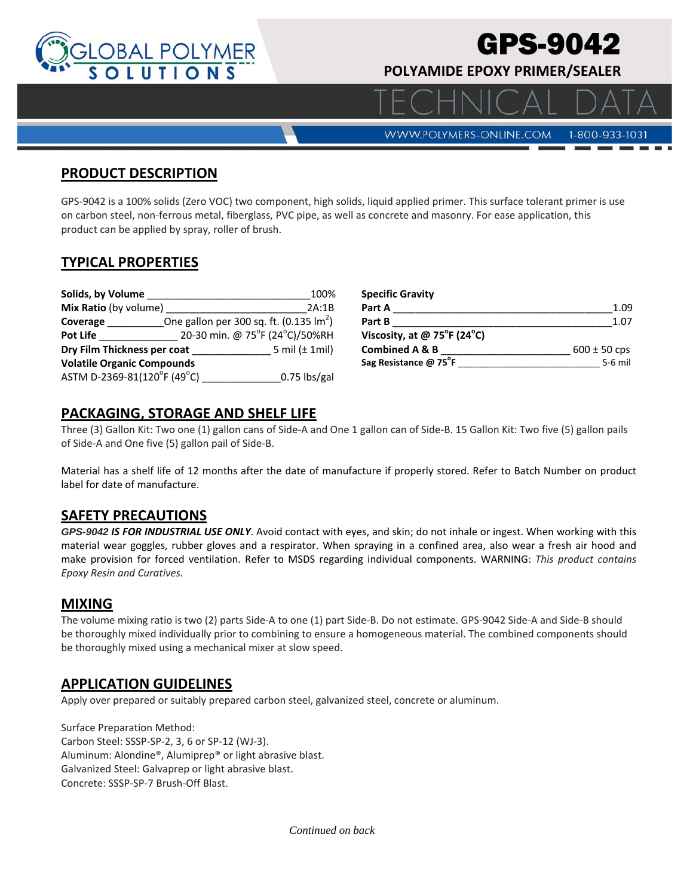

# GPS-9042

 $\Delta$  |  $\Box$ 

**POLYAMIDE EPOXY PRIMER/SEALER** 

**WWW.POLYMERS-ONLINE.COM** 

#### 1-800-933-1031

#### **PRODUCT DESCRIPTION**

GPS‐9042 is a 100% solids (Zero VOC) two component, high solids, liquid applied primer. This surface tolerant primer is use on carbon steel, non‐ferrous metal, fiberglass, PVC pipe, as well as concrete and masonry. For ease application, this product can be applied by spray, roller of brush.

#### **TYPICAL PROPERTIES**

| Solids, by Volume                 |  | 100%                                              | S۱ |
|-----------------------------------|--|---------------------------------------------------|----|
| Mix Ratio (by volume)             |  | 2A:1B                                             | P: |
| Coverage                          |  | One gallon per 300 sq. ft. $(0.135 \text{ lm}^2)$ | P: |
| <b>Pot Life</b>                   |  | 20-30 min. @ 75°F (24°C)/50%RH                    | v  |
| Dry Film Thickness per coat       |  | 5 mil $(\pm 1$ mil)                               | C) |
| <b>Volatile Organic Compounds</b> |  |                                                   | Sa |
| ASTM D-2369-81(120°F (49°C)       |  | $0.75$ lbs/gal                                    |    |

| <b>Specific Gravity</b>                          |                  |
|--------------------------------------------------|------------------|
| Part A                                           | 1.09             |
| Part B                                           | 1.07             |
| Viscosity, at @ $75^{\circ}$ F (24 $^{\circ}$ C) |                  |
| <b>Combined A &amp; B</b>                        | $600 \pm 50$ cps |
| Sag Resistance @ 75°F                            | $5-6$ mil        |

## **PACKAGING, STORAGE AND SHELF LIFE**

Three (3) Gallon Kit: Two one (1) gallon cans of Side‐A and One 1 gallon can of Side‐B. 15 Gallon Kit: Two five (5) gallon pails of Side‐A and One five (5) gallon pail of Side‐B.

Material has a shelf life of 12 months after the date of manufacture if properly stored. Refer to Batch Number on product label for date of manufacture.

## **SAFETY PRECAUTIONS**

*GPS-9042 IS FOR INDUSTRIAL USE ONLY*. Avoid contact with eyes, and skin; do not inhale or ingest. When working with this material wear goggles, rubber gloves and a respirator. When spraying in a confined area, also wear a fresh air hood and make provision for forced ventilation. Refer to MSDS regarding individual components. WARNING: *This product contains Epoxy Resin and Curatives.*

#### **MIXING**

The volume mixing ratio is two (2) parts Side‐A to one (1) part Side‐B. Do not estimate. GPS‐9042 Side‐A and Side‐B should be thoroughly mixed individually prior to combining to ensure a homogeneous material. The combined components should be thoroughly mixed using a mechanical mixer at slow speed.

## **APPLICATION GUIDELINES**

Apply over prepared or suitably prepared carbon steel, galvanized steel, concrete or aluminum.

Surface Preparation Method: Carbon Steel: SSSP‐SP‐2, 3, 6 or SP‐12 (WJ‐3). Aluminum: Alondine®, Alumiprep® or light abrasive blast. Galvanized Steel: Galvaprep or light abrasive blast. Concrete: SSSP‐SP‐7 Brush‐Off Blast.

*Continued on back*